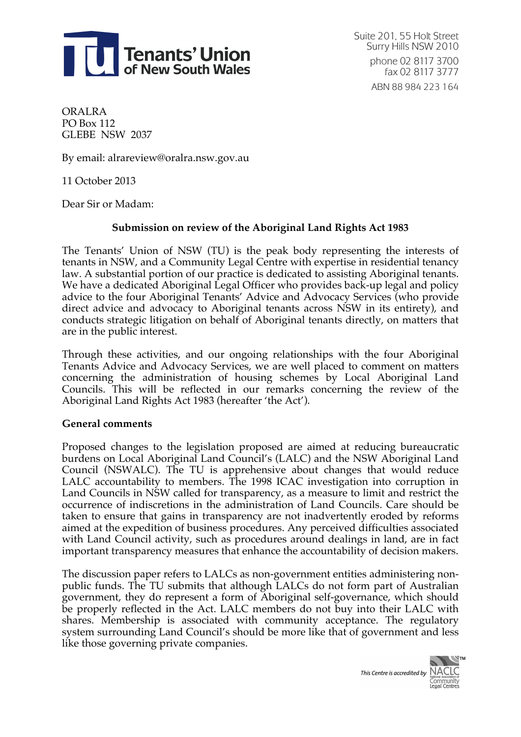

Suite 201, 55 Holt Street Surry Hills NSW 2010 phone 02 8117 3700 fax 02 8117 3777 ABN 88 984 223 164

ORALRA PO Box 112 GLEBE NSW 2037

By email: alrareview@oralra.nsw.gov.au

11 October 2013

Dear Sir or Madam:

### **Submission on review of the Aboriginal Land Rights Act 1983**

The Tenants' Union of NSW (TU) is the peak body representing the interests of tenants in NSW, and a Community Legal Centre with expertise in residential tenancy law. A substantial portion of our practice is dedicated to assisting Aboriginal tenants. We have a dedicated Aboriginal Legal Officer who provides back-up legal and policy advice to the four Aboriginal Tenants' Advice and Advocacy Services (who provide direct advice and advocacy to Aboriginal tenants across NSW in its entirety), and conducts strategic litigation on behalf of Aboriginal tenants directly, on matters that are in the public interest.

Through these activities, and our ongoing relationships with the four Aboriginal Tenants Advice and Advocacy Services, we are well placed to comment on matters concerning the administration of housing schemes by Local Aboriginal Land Councils. This will be reflected in our remarks concerning the review of the Aboriginal Land Rights Act 1983 (hereafter 'the Act').

#### **General comments**

Proposed changes to the legislation proposed are aimed at reducing bureaucratic burdens on Local Aboriginal Land Council's (LALC) and the NSW Aboriginal Land Council (NSWALC). The TU is apprehensive about changes that would reduce LALC accountability to members. The 1998 ICAC investigation into corruption in Land Councils in NSW called for transparency, as a measure to limit and restrict the occurrence of indiscretions in the administration of Land Councils. Care should be taken to ensure that gains in transparency are not inadvertently eroded by reforms aimed at the expedition of business procedures. Any perceived difficulties associated with Land Council activity, such as procedures around dealings in land, are in fact important transparency measures that enhance the accountability of decision makers.

The discussion paper refers to LALCs as non-government entities administering nonpublic funds. The TU submits that although LALCs do not form part of Australian government, they do represent a form of Aboriginal self-governance, which should be properly reflected in the Act. LALC members do not buy into their LALC with shares. Membership is associated with community acceptance. The regulatory system surrounding Land Council's should be more like that of government and less like those governing private companies.

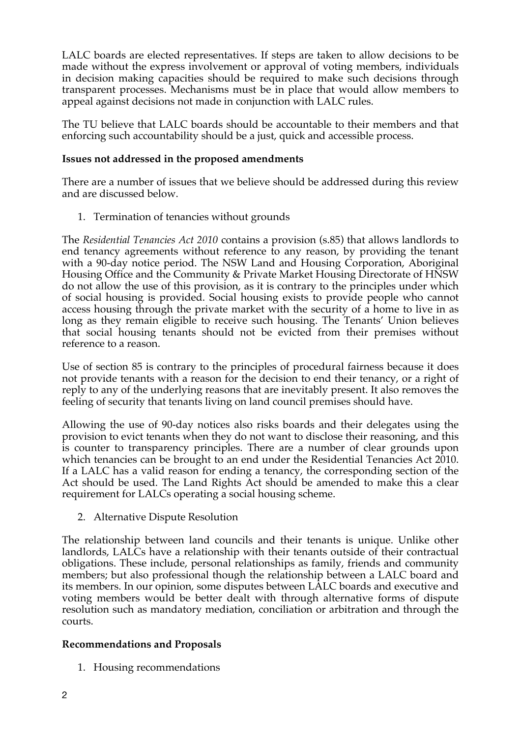LALC boards are elected representatives. If steps are taken to allow decisions to be made without the express involvement or approval of voting members, individuals in decision making capacities should be required to make such decisions through transparent processes. Mechanisms must be in place that would allow members to appeal against decisions not made in conjunction with LALC rules.

The TU believe that LALC boards should be accountable to their members and that enforcing such accountability should be a just, quick and accessible process.

### **Issues not addressed in the proposed amendments**

There are a number of issues that we believe should be addressed during this review and are discussed below.

1. Termination of tenancies without grounds

The *Residential Tenancies Act 2010* contains a provision (s.85) that allows landlords to end tenancy agreements without reference to any reason, by providing the tenant with a 90-day notice period. The NSW Land and Housing Corporation, Aboriginal Housing Office and the Community & Private Market Housing Directorate of HNSW do not allow the use of this provision, as it is contrary to the principles under which of social housing is provided. Social housing exists to provide people who cannot access housing through the private market with the security of a home to live in as long as they remain eligible to receive such housing. The Tenants' Union believes that social housing tenants should not be evicted from their premises without reference to a reason.

Use of section 85 is contrary to the principles of procedural fairness because it does not provide tenants with a reason for the decision to end their tenancy, or a right of reply to any of the underlying reasons that are inevitably present. It also removes the feeling of security that tenants living on land council premises should have.

Allowing the use of 90-day notices also risks boards and their delegates using the provision to evict tenants when they do not want to disclose their reasoning, and this is counter to transparency principles. There are a number of clear grounds upon which tenancies can be brought to an end under the Residential Tenancies Act 2010. If a LALC has a valid reason for ending a tenancy, the corresponding section of the Act should be used. The Land Rights Act should be amended to make this a clear requirement for LALCs operating a social housing scheme.

2. Alternative Dispute Resolution

The relationship between land councils and their tenants is unique. Unlike other landlords, LALCs have a relationship with their tenants outside of their contractual obligations. These include, personal relationships as family, friends and community members; but also professional though the relationship between a LALC board and its members. In our opinion, some disputes between LALC boards and executive and voting members would be better dealt with through alternative forms of dispute resolution such as mandatory mediation, conciliation or arbitration and through the courts.

# **Recommendations and Proposals**

1. Housing recommendations